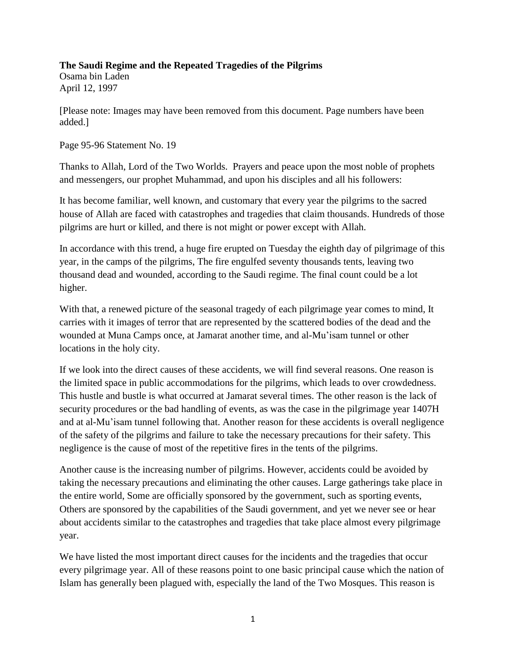## **The Saudi Regime and the Repeated Tragedies of the Pilgrims**

Osama bin Laden April 12, 1997

[Please note: Images may have been removed from this document. Page numbers have been added.]

Page 95-96 Statement No. 19

Thanks to Allah, Lord of the Two Worlds. Prayers and peace upon the most noble of prophets and messengers, our prophet Muhammad, and upon his disciples and all his followers:

It has become familiar, well known, and customary that every year the pilgrims to the sacred house of Allah are faced with catastrophes and tragedies that claim thousands. Hundreds of those pilgrims are hurt or killed, and there is not might or power except with Allah.

In accordance with this trend, a huge fire erupted on Tuesday the eighth day of pilgrimage of this year, in the camps of the pilgrims, The fire engulfed seventy thousands tents, leaving two thousand dead and wounded, according to the Saudi regime. The final count could be a lot higher.

With that, a renewed picture of the seasonal tragedy of each pilgrimage year comes to mind, It carries with it images of terror that are represented by the scattered bodies of the dead and the wounded at Muna Camps once, at Jamarat another time, and al-Mu'isam tunnel or other locations in the holy city.

If we look into the direct causes of these accidents, we will find several reasons. One reason is the limited space in public accommodations for the pilgrims, which leads to over crowdedness. This hustle and bustle is what occurred at Jamarat several times. The other reason is the lack of security procedures or the bad handling of events, as was the case in the pilgrimage year 1407H and at al-Mu'isam tunnel following that. Another reason for these accidents is overall negligence of the safety of the pilgrims and failure to take the necessary precautions for their safety. This negligence is the cause of most of the repetitive fires in the tents of the pilgrims.

Another cause is the increasing number of pilgrims. However, accidents could be avoided by taking the necessary precautions and eliminating the other causes. Large gatherings take place in the entire world, Some are officially sponsored by the government, such as sporting events, Others are sponsored by the capabilities of the Saudi government, and yet we never see or hear about accidents similar to the catastrophes and tragedies that take place almost every pilgrimage year.

We have listed the most important direct causes for the incidents and the tragedies that occur every pilgrimage year. All of these reasons point to one basic principal cause which the nation of Islam has generally been plagued with, especially the land of the Two Mosques. This reason is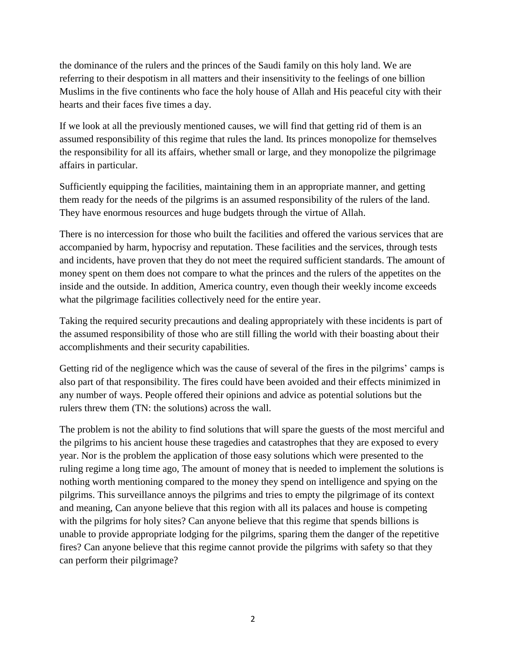the dominance of the rulers and the princes of the Saudi family on this holy land. We are referring to their despotism in all matters and their insensitivity to the feelings of one billion Muslims in the five continents who face the holy house of Allah and His peaceful city with their hearts and their faces five times a day.

If we look at all the previously mentioned causes, we will find that getting rid of them is an assumed responsibility of this regime that rules the land. Its princes monopolize for themselves the responsibility for all its affairs, whether small or large, and they monopolize the pilgrimage affairs in particular.

Sufficiently equipping the facilities, maintaining them in an appropriate manner, and getting them ready for the needs of the pilgrims is an assumed responsibility of the rulers of the land. They have enormous resources and huge budgets through the virtue of Allah.

There is no intercession for those who built the facilities and offered the various services that are accompanied by harm, hypocrisy and reputation. These facilities and the services, through tests and incidents, have proven that they do not meet the required sufficient standards. The amount of money spent on them does not compare to what the princes and the rulers of the appetites on the inside and the outside. In addition, America country, even though their weekly income exceeds what the pilgrimage facilities collectively need for the entire year.

Taking the required security precautions and dealing appropriately with these incidents is part of the assumed responsibility of those who are still filling the world with their boasting about their accomplishments and their security capabilities.

Getting rid of the negligence which was the cause of several of the fires in the pilgrims' camps is also part of that responsibility. The fires could have been avoided and their effects minimized in any number of ways. People offered their opinions and advice as potential solutions but the rulers threw them (TN: the solutions) across the wall.

The problem is not the ability to find solutions that will spare the guests of the most merciful and the pilgrims to his ancient house these tragedies and catastrophes that they are exposed to every year. Nor is the problem the application of those easy solutions which were presented to the ruling regime a long time ago, The amount of money that is needed to implement the solutions is nothing worth mentioning compared to the money they spend on intelligence and spying on the pilgrims. This surveillance annoys the pilgrims and tries to empty the pilgrimage of its context and meaning, Can anyone believe that this region with all its palaces and house is competing with the pilgrims for holy sites? Can anyone believe that this regime that spends billions is unable to provide appropriate lodging for the pilgrims, sparing them the danger of the repetitive fires? Can anyone believe that this regime cannot provide the pilgrims with safety so that they can perform their pilgrimage?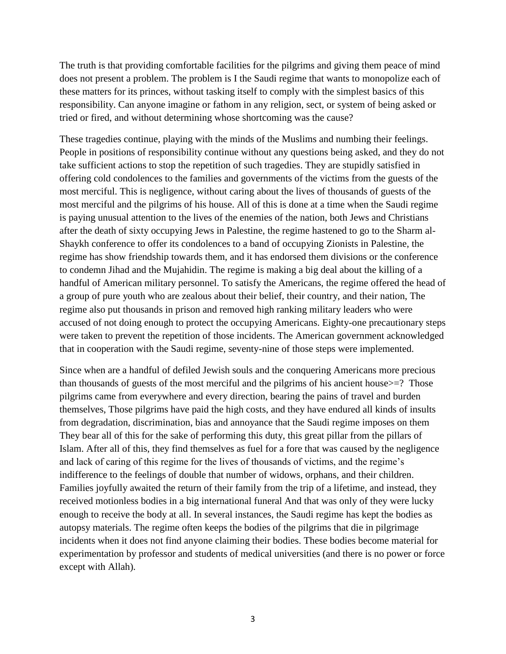The truth is that providing comfortable facilities for the pilgrims and giving them peace of mind does not present a problem. The problem is I the Saudi regime that wants to monopolize each of these matters for its princes, without tasking itself to comply with the simplest basics of this responsibility. Can anyone imagine or fathom in any religion, sect, or system of being asked or tried or fired, and without determining whose shortcoming was the cause?

These tragedies continue, playing with the minds of the Muslims and numbing their feelings. People in positions of responsibility continue without any questions being asked, and they do not take sufficient actions to stop the repetition of such tragedies. They are stupidly satisfied in offering cold condolences to the families and governments of the victims from the guests of the most merciful. This is negligence, without caring about the lives of thousands of guests of the most merciful and the pilgrims of his house. All of this is done at a time when the Saudi regime is paying unusual attention to the lives of the enemies of the nation, both Jews and Christians after the death of sixty occupying Jews in Palestine, the regime hastened to go to the Sharm al-Shaykh conference to offer its condolences to a band of occupying Zionists in Palestine, the regime has show friendship towards them, and it has endorsed them divisions or the conference to condemn Jihad and the Mujahidin. The regime is making a big deal about the killing of a handful of American military personnel. To satisfy the Americans, the regime offered the head of a group of pure youth who are zealous about their belief, their country, and their nation, The regime also put thousands in prison and removed high ranking military leaders who were accused of not doing enough to protect the occupying Americans. Eighty-one precautionary steps were taken to prevent the repetition of those incidents. The American government acknowledged that in cooperation with the Saudi regime, seventy-nine of those steps were implemented.

Since when are a handful of defiled Jewish souls and the conquering Americans more precious than thousands of guests of the most merciful and the pilgrims of his ancient house>=? Those pilgrims came from everywhere and every direction, bearing the pains of travel and burden themselves, Those pilgrims have paid the high costs, and they have endured all kinds of insults from degradation, discrimination, bias and annoyance that the Saudi regime imposes on them They bear all of this for the sake of performing this duty, this great pillar from the pillars of Islam. After all of this, they find themselves as fuel for a fore that was caused by the negligence and lack of caring of this regime for the lives of thousands of victims, and the regime's indifference to the feelings of double that number of widows, orphans, and their children. Families joyfully awaited the return of their family from the trip of a lifetime, and instead, they received motionless bodies in a big international funeral And that was only of they were lucky enough to receive the body at all. In several instances, the Saudi regime has kept the bodies as autopsy materials. The regime often keeps the bodies of the pilgrims that die in pilgrimage incidents when it does not find anyone claiming their bodies. These bodies become material for experimentation by professor and students of medical universities (and there is no power or force except with Allah).